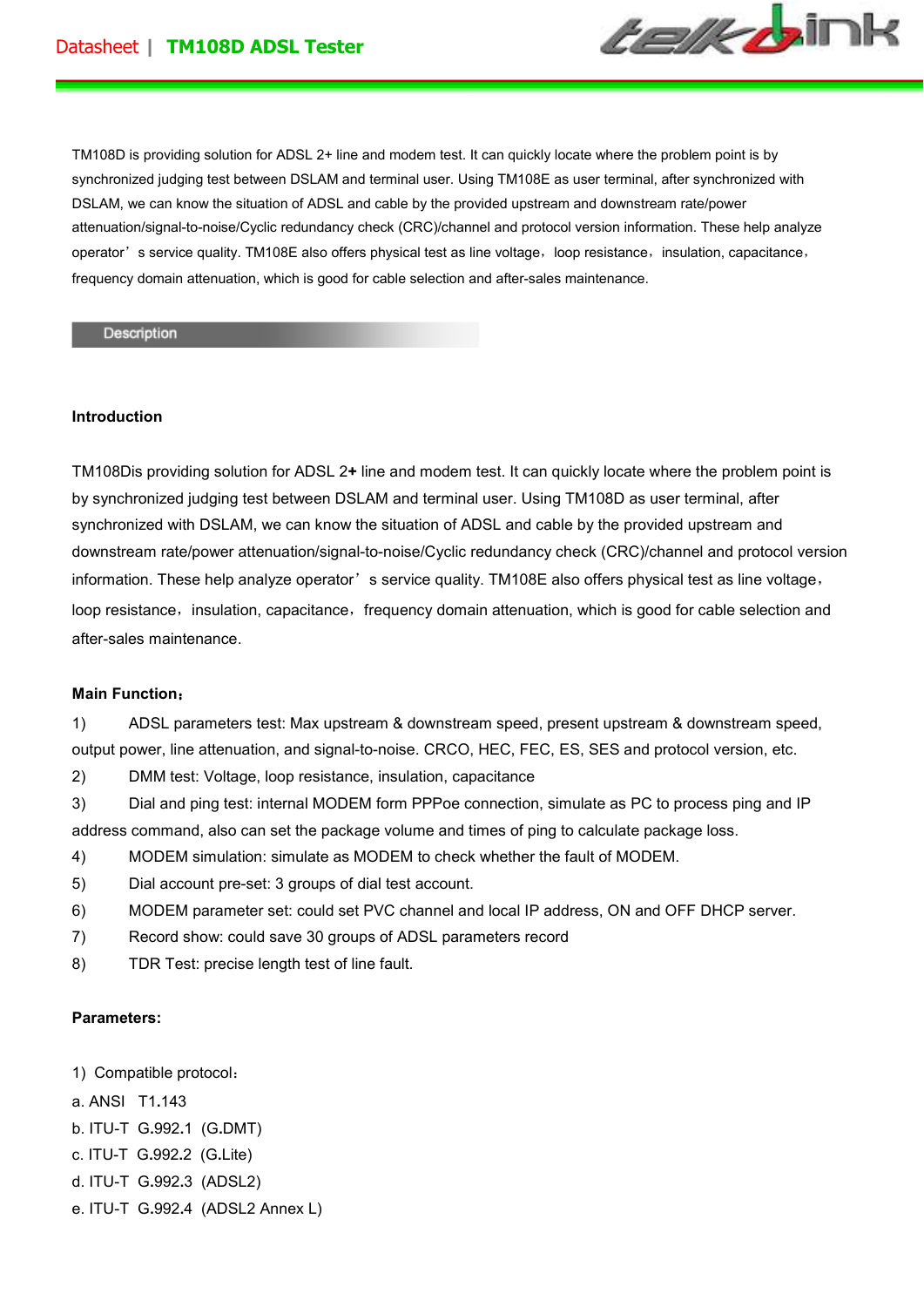

TM108D is providing solution for ADSL 2+ line and modem test. It can quickly locate where the problem point is by synchronized judging test between DSLAM and terminal user. Using TM108E as user terminal, after synchronized with DSLAM, we can know the situation of ADSL and cable by the provided upstream and downstream rate/power attenuation/signal-to-noise/Cyclic redundancy check (CRC)/channel and protocol version information. These help analyze operator's service quality. TM108E also offers physical test as line voltage, loop resistance, insulation, capacitance, frequency domain attenuation, which is good for cable selection and after-sales maintenance.

## Description

## **Introduction**

TM108Dis providing solution for ADSL 2**+** line and modem test. It can quickly locate where the problem point is by synchronized judging test between DSLAM and terminal user. Using TM108D as user terminal, after synchronized with DSLAM, we can know the situation of ADSL and cable by the provided upstream and downstream rate/power attenuation/signal-to-noise/Cyclic redundancy check (CRC)/channel and protocol version information. These help analyze operator's service quality. TM108E also offers physical test as line voltage, loop resistance, insulation, capacitance, frequency domain attenuation, which is good for cable selection and after-sales maintenance.

## **Main Function**:

1) ADSL parameters test: Max upstream & downstream speed, present upstream & downstream speed, output power, line attenuation, and signal-to-noise. CRCO, HEC, FEC, ES, SES and protocol version, etc.

2) DMM test: Voltage, loop resistance, insulation, capacitance

3) Dial and ping test: internal MODEM form PPPoe connection, simulate as PC to process ping and IP address command, also can set the package volume and times of ping to calculate package loss.

4) MODEM simulation: simulate as MODEM to check whether the fault of MODEM.

- 5) Dial account pre-set: 3 groups of dial test account.
- 6) MODEM parameter set: could set PVC channel and local IP address, ON and OFF DHCP server.
- 7) Record show: could save 30 groups of ADSL parameters record
- 8) TDR Test: precise length test of line fault.

## **Parameters:**

- 1) Compatible protocol:
- a. ANSI T1**.**143
- b. ITU-T G**.**992**.**1 (G**.**DMT)
- c. ITU-T G**.**992**.**2 (G**.**Lite)
- d. ITU-T G**.**992**.**3 (ADSL2)
- e. ITU-T G**.**992**.**4 (ADSL2 Annex L)